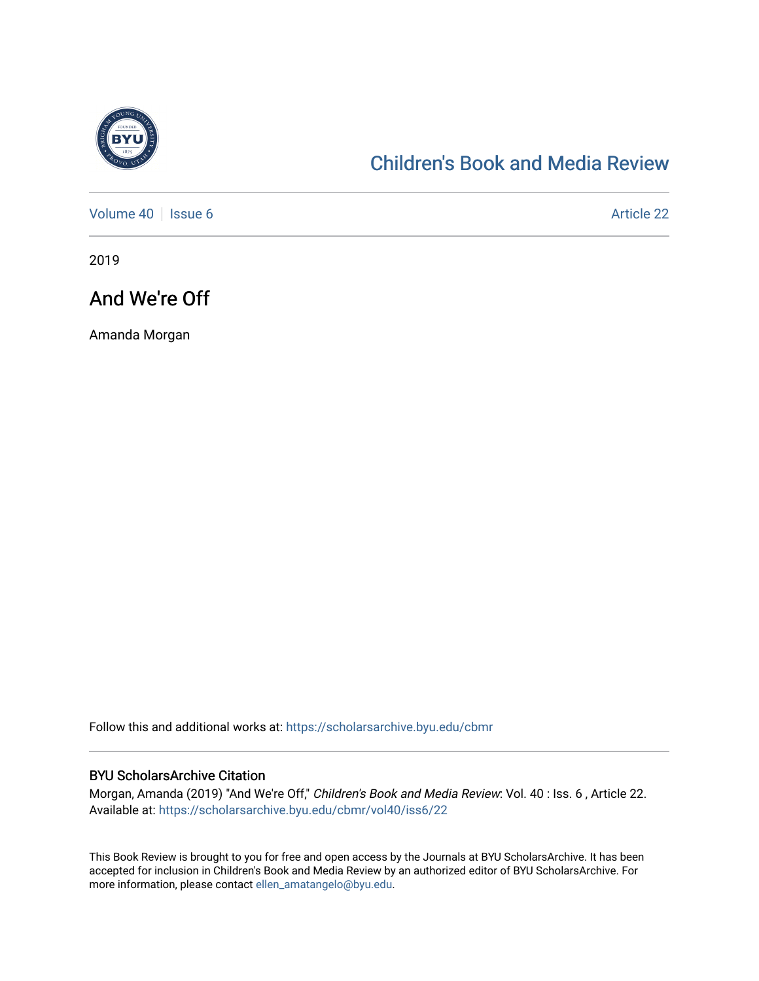

## [Children's Book and Media Review](https://scholarsarchive.byu.edu/cbmr)

[Volume 40](https://scholarsarchive.byu.edu/cbmr/vol40) | [Issue 6](https://scholarsarchive.byu.edu/cbmr/vol40/iss6) Article 22

2019

### And We're Off

Amanda Morgan

Follow this and additional works at: [https://scholarsarchive.byu.edu/cbmr](https://scholarsarchive.byu.edu/cbmr?utm_source=scholarsarchive.byu.edu%2Fcbmr%2Fvol40%2Fiss6%2F22&utm_medium=PDF&utm_campaign=PDFCoverPages) 

#### BYU ScholarsArchive Citation

Morgan, Amanda (2019) "And We're Off," Children's Book and Media Review: Vol. 40 : Iss. 6 , Article 22. Available at: [https://scholarsarchive.byu.edu/cbmr/vol40/iss6/22](https://scholarsarchive.byu.edu/cbmr/vol40/iss6/22?utm_source=scholarsarchive.byu.edu%2Fcbmr%2Fvol40%2Fiss6%2F22&utm_medium=PDF&utm_campaign=PDFCoverPages)

This Book Review is brought to you for free and open access by the Journals at BYU ScholarsArchive. It has been accepted for inclusion in Children's Book and Media Review by an authorized editor of BYU ScholarsArchive. For more information, please contact [ellen\\_amatangelo@byu.edu.](mailto:ellen_amatangelo@byu.edu)